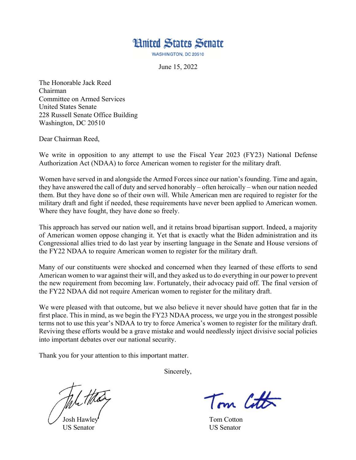

**WASHINGTON, DC 20510** 

June 15, 2022

The Honorable Jack Reed Chairman Committee on Armed Services United States Senate 228 Russell Senate Office Building Washington, DC 20510

Dear Chairman Reed,

We write in opposition to any attempt to use the Fiscal Year 2023 (FY23) National Defense Authorization Act (NDAA) to force American women to register for the military draft.

Women have served in and alongside the Armed Forces since our nation's founding. Time and again, they have answered the call of duty and served honorably – often heroically – when our nation needed them. But they have done so of their own will. While American men are required to register for the military draft and fight if needed, these requirements have never been applied to American women. Where they have fought, they have done so freely.

This approach has served our nation well, and it retains broad bipartisan support. Indeed, a majority of American women oppose changing it. Yet that is exactly what the Biden administration and its Congressional allies tried to do last year by inserting language in the Senate and House versions of the FY22 NDAA to require American women to register for the military draft.

Many of our constituents were shocked and concerned when they learned of these efforts to send American women to war against their will, and they asked us to do everything in our power to prevent the new requirement from becoming law. Fortunately, their advocacy paid off. The final version of the FY22 NDAA did not require American women to register for the military draft.

We were pleased with that outcome, but we also believe it never should have gotten that far in the first place. This in mind, as we begin the FY23 NDAA process, we urge you in the strongest possible terms not to use this year's NDAA to try to force America's women to register for the military draft. Reviving these efforts would be a grave mistake and would needlessly inject divisive social policies into important debates over our national security.

Thank you for your attention to this important matter.

Sincerely,

US Senator US Senator

Tom Cotton

Tom Cotton